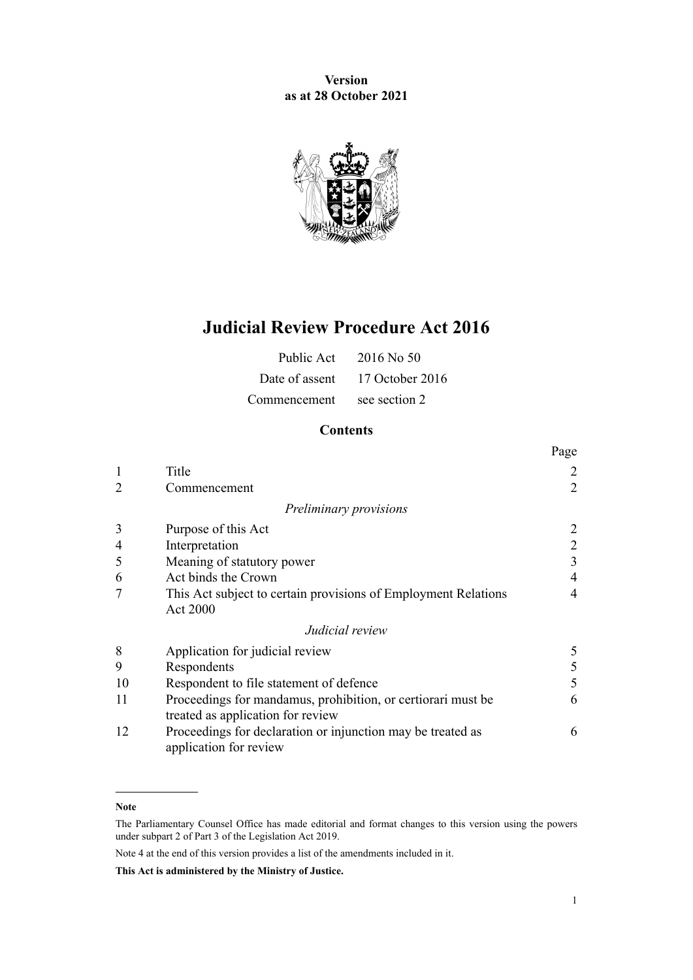**Version as at 28 October 2021**



# **Judicial Review Procedure Act 2016**

|              | Public Act $2016$ No 50        |
|--------------|--------------------------------|
|              | Date of assent 17 October 2016 |
| Commencement | see section 2                  |

# **Contents**

|                |                                                                | Page           |
|----------------|----------------------------------------------------------------|----------------|
| $\mathbf{1}$   | Title                                                          | 2              |
| $\overline{2}$ | Commencement                                                   | $\overline{2}$ |
|                | Preliminary provisions                                         |                |
| 3              | Purpose of this Act                                            | $\overline{2}$ |
| $\overline{4}$ | Interpretation                                                 | $\overline{2}$ |
| 5              | Meaning of statutory power                                     | 3              |
| 6              | Act binds the Crown                                            | $\overline{4}$ |
| 7              | This Act subject to certain provisions of Employment Relations | $\overline{4}$ |
|                | Act 2000                                                       |                |
|                | Judicial review                                                |                |
| 8              | Application for judicial review                                | 5              |
| 9              | Respondents                                                    | 5              |
| 10             | Respondent to file statement of defence                        | 5              |
| 11             | Proceedings for mandamus, prohibition, or certiorari must be   | 6              |
|                | treated as application for review                              |                |
| 12             | Proceedings for declaration or injunction may be treated as    | 6              |
|                | application for review                                         |                |
|                |                                                                |                |

#### **Note**

Note 4 at the end of this version provides a list of the amendments included in it.

The Parliamentary Counsel Office has made editorial and format changes to this version using the powers under [subpart 2](http://legislation.govt.nz/pdflink.aspx?id=DLM7298371) of Part 3 of the Legislation Act 2019.

**This Act is administered by the Ministry of Justice.**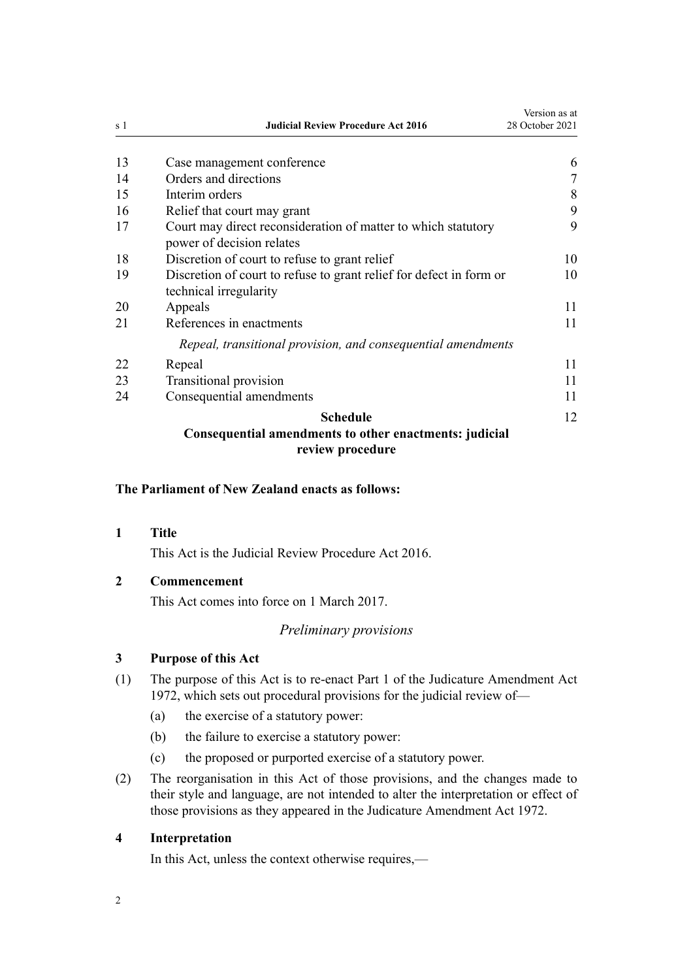<span id="page-1-0"></span>

| s 1 | <b>Judicial Review Procedure Act 2016</b>                                                     | Version as at<br>28 October 2021 |
|-----|-----------------------------------------------------------------------------------------------|----------------------------------|
| 13  | Case management conference                                                                    | 6                                |
| 14  | Orders and directions                                                                         | 7                                |
| 15  | Interim orders                                                                                | 8                                |
| 16  | Relief that court may grant                                                                   | 9                                |
| 17  | Court may direct reconsideration of matter to which statutory<br>power of decision relates    | 9                                |
| 18  | Discretion of court to refuse to grant relief                                                 | 10                               |
| 19  | Discretion of court to refuse to grant relief for defect in form or<br>technical irregularity | 10                               |
| 20  | Appeals                                                                                       | 11                               |
| 21  | References in enactments                                                                      | 11                               |
|     | Repeal, transitional provision, and consequential amendments                                  |                                  |
| 22  | Repeal                                                                                        | 11                               |
| 23  | Transitional provision                                                                        | 11                               |
| 24  | Consequential amendments                                                                      | 11                               |
|     | <b>Schedule</b><br>Consequential amendments to other enactments: judicial                     | 12                               |
|     | review procedure                                                                              |                                  |

### **The Parliament of New Zealand enacts as follows:**

**1 Title**

This Act is the Judicial Review Procedure Act 2016.

**2 Commencement**

This Act comes into force on 1 March 2017.

# *Preliminary provisions*

# **3 Purpose of this Act**

- (1) The purpose of this Act is to re-enact [Part 1](http://legislation.govt.nz/pdflink.aspx?id=DLM408335) of the Judicature Amendment Act 1972, which sets out procedural provisions for the judicial review of—
	- (a) the exercise of a statutory power:
	- (b) the failure to exercise a statutory power:
	- (c) the proposed or purported exercise of a statutory power.
- (2) The reorganisation in this Act of those provisions, and the changes made to their style and language, are not intended to alter the interpretation or effect of those provisions as they appeared in the [Judicature Amendment Act 1972.](http://legislation.govt.nz/pdflink.aspx?id=DLM408329)

# **4 Interpretation**

In this Act, unless the context otherwise requires,—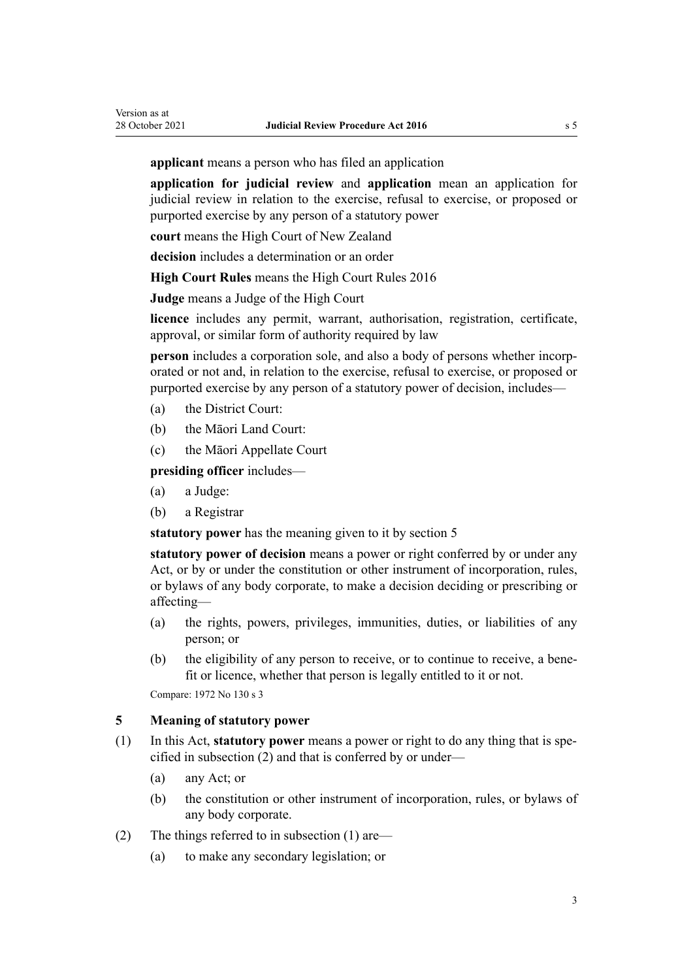<span id="page-2-0"></span>**applicant** means a person who has filed an application

**application for judicial review** and **application** mean an application for judicial review in relation to the exercise, refusal to exercise, or proposed or purported exercise by any person of a statutory power

**court** means the High Court of New Zealand

**decision** includes a determination or an order

**High Court Rules** means the High Court Rules 2016

**Judge** means a Judge of the High Court

**licence** includes any permit, warrant, authorisation, registration, certificate, approval, or similar form of authority required by law

**person** includes a corporation sole, and also a body of persons whether incorporated or not and, in relation to the exercise, refusal to exercise, or proposed or purported exercise by any person of a statutory power of decision, includes—

- (a) the District Court:
- (b) the Māori Land Court:
- (c) the Māori Appellate Court

**presiding officer** includes—

- (a) a Judge:
- (b) a Registrar

**statutory power** has the meaning given to it by section 5

**statutory power of decision** means a power or right conferred by or under any Act, or by or under the constitution or other instrument of incorporation, rules, or bylaws of any body corporate, to make a decision deciding or prescribing or affecting—

- (a) the rights, powers, privileges, immunities, duties, or liabilities of any person; or
- (b) the eligibility of any person to receive, or to continue to receive, a bene‐ fit or licence, whether that person is legally entitled to it or not.

Compare: 1972 No 130 [s 3](http://legislation.govt.nz/pdflink.aspx?id=DLM408337)

### **5 Meaning of statutory power**

- (1) In this Act, **statutory power** means a power or right to do any thing that is spe‐ cified in subsection (2) and that is conferred by or under—
	- (a) any Act; or
	- (b) the constitution or other instrument of incorporation, rules, or bylaws of any body corporate.
- (2) The things referred to in subsection (1) are—
	- (a) to make any secondary legislation; or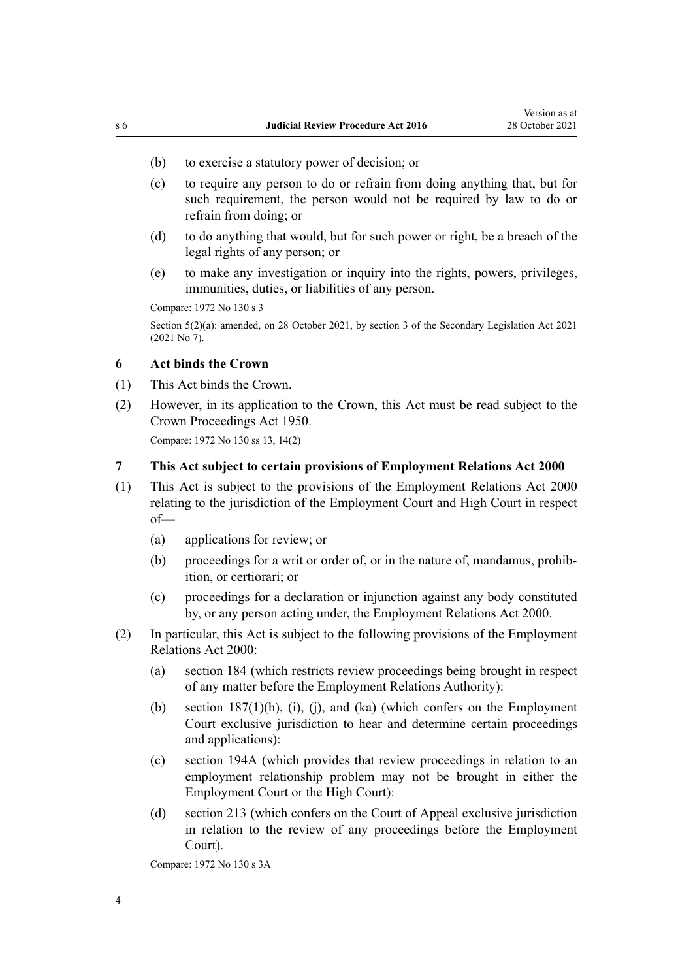- <span id="page-3-0"></span>(b) to exercise a statutory power of decision; or
- (c) to require any person to do or refrain from doing anything that, but for such requirement, the person would not be required by law to do or refrain from doing; or
- (d) to do anything that would, but for such power or right, be a breach of the legal rights of any person; or
- (e) to make any investigation or inquiry into the rights, powers, privileges, immunities, duties, or liabilities of any person.

Compare: 1972 No 130 [s 3](http://legislation.govt.nz/pdflink.aspx?id=DLM408337)

Section 5(2)(a): amended, on 28 October 2021, by [section 3](http://legislation.govt.nz/pdflink.aspx?id=LMS268932) of the Secondary Legislation Act 2021 (2021 No 7).

# **6 Act binds the Crown**

- (1) This Act binds the Crown.
- (2) However, in its application to the Crown, this Act must be read subject to the [Crown Proceedings Act 1950.](http://legislation.govt.nz/pdflink.aspx?id=DLM261466) Compare: 1972 No 130 [ss 13](http://legislation.govt.nz/pdflink.aspx?id=DLM408378), [14\(2\)](http://legislation.govt.nz/pdflink.aspx?id=DLM408379)

### **7 This Act subject to certain provisions of Employment Relations Act 2000**

- (1) This Act is subject to the provisions of the [Employment Relations Act 2000](http://legislation.govt.nz/pdflink.aspx?id=DLM58316) relating to the jurisdiction of the Employment Court and High Court in respect of—
	- (a) applications for review; or
	- (b) proceedings for a writ or order of, or in the nature of, mandamus, prohibition, or certiorari; or
	- (c) proceedings for a declaration or injunction against any body constituted by, or any person acting under, the [Employment Relations Act 2000.](http://legislation.govt.nz/pdflink.aspx?id=DLM58316)
- (2) In particular, this Act is subject to the following provisions of the [Employment](http://legislation.govt.nz/pdflink.aspx?id=DLM58316) [Relations Act 2000](http://legislation.govt.nz/pdflink.aspx?id=DLM58316):
	- (a) [section 184](http://legislation.govt.nz/pdflink.aspx?id=DLM60977) (which restricts review proceedings being brought in respect of any matter before the Employment Relations Authority):
	- (b) section  $187(1)(h)$ , (i), (i), and (ka) (which confers on the Employment Court exclusive jurisdiction to hear and determine certain proceedings and applications):
	- (c) [section 194A](http://legislation.govt.nz/pdflink.aspx?id=DLM60992) (which provides that review proceedings in relation to an employment relationship problem may not be brought in either the Employment Court or the High Court):
	- (d) [section 213](http://legislation.govt.nz/pdflink.aspx?id=DLM61423) (which confers on the Court of Appeal exclusive jurisdiction in relation to the review of any proceedings before the Employment Court).

Compare: 1972 No 130 [s 3A](http://legislation.govt.nz/pdflink.aspx?id=DLM408355)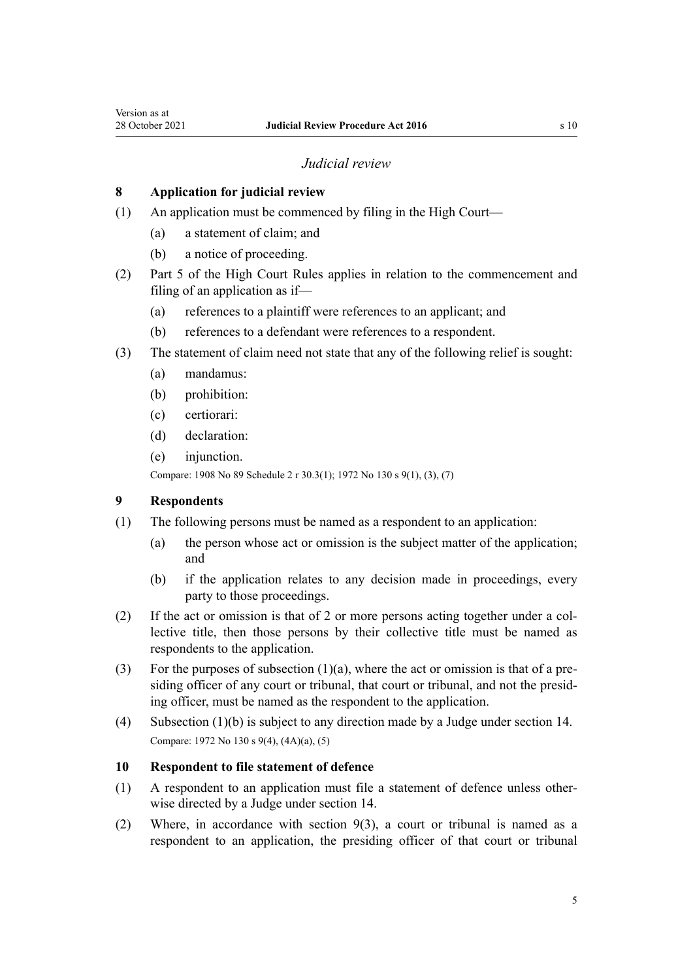### *Judicial review*

# <span id="page-4-0"></span>**8 Application for judicial review**

- (1) An application must be commenced by filing in the High Court—
	- (a) a statement of claim; and
	- (b) a notice of proceeding.
- (2) Part 5 of the High Court Rules applies in relation to the commencement and filing of an application as if—
	- (a) references to a plaintiff were references to an applicant; and
	- (b) references to a defendant were references to a respondent.
- (3) The statement of claim need not state that any of the following relief is sought:
	- (a) mandamus:
	- (b) prohibition:
	- (c) certiorari:
	- (d) declaration:
	- (e) injunction.

Compare: 1908 No 89 Schedule 2 [r 30.3\(1\)](http://legislation.govt.nz/pdflink.aspx?id=DLM1820003); 1972 No 130 [s 9\(1\), \(3\), \(7\)](http://legislation.govt.nz/pdflink.aspx?id=DLM408370)

#### **9 Respondents**

- (1) The following persons must be named as a respondent to an application:
	- (a) the person whose act or omission is the subject matter of the application; and
	- (b) if the application relates to any decision made in proceedings, every party to those proceedings.
- (2) If the act or omission is that of 2 or more persons acting together under a col‐ lective title, then those persons by their collective title must be named as respondents to the application.
- (3) For the purposes of subsection  $(1)(a)$ , where the act or omission is that of a presiding officer of any court or tribunal, that court or tribunal, and not the presid‐ ing officer, must be named as the respondent to the application.
- (4) Subsection (1)(b) is subject to any direction made by a Judge under [section 14](#page-6-0). Compare: 1972 No 130 [s 9\(4\), \(4A\)\(a\), \(5\)](http://legislation.govt.nz/pdflink.aspx?id=DLM408370)

#### **10 Respondent to file statement of defence**

- (1) A respondent to an application must file a statement of defence unless other‐ wise directed by a Judge under [section 14](#page-6-0).
- (2) Where, in accordance with section 9(3), a court or tribunal is named as a respondent to an application, the presiding officer of that court or tribunal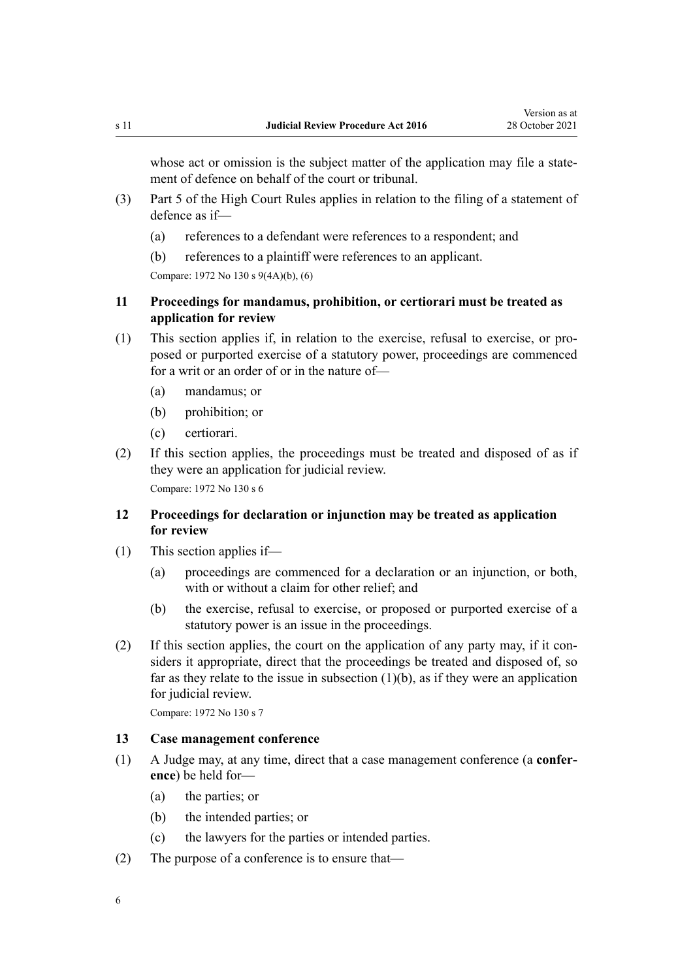<span id="page-5-0"></span>whose act or omission is the subject matter of the application may file a statement of defence on behalf of the court or tribunal.

- (3) Part 5 of the High Court Rules applies in relation to the filing of a statement of defence as if—
	- (a) references to a defendant were references to a respondent; and
	- (b) references to a plaintiff were references to an applicant.

Compare: 1972 No 130 [s 9\(4A\)\(b\), \(6\)](http://legislation.govt.nz/pdflink.aspx?id=DLM408370)

### **11 Proceedings for mandamus, prohibition, or certiorari must be treated as application for review**

- (1) This section applies if, in relation to the exercise, refusal to exercise, or pro‐ posed or purported exercise of a statutory power, proceedings are commenced for a writ or an order of or in the nature of—
	- (a) mandamus; or
	- (b) prohibition; or
	- (c) certiorari.
- (2) If this section applies, the proceedings must be treated and disposed of as if they were an application for judicial review.

Compare: 1972 No 130 [s 6](http://legislation.govt.nz/pdflink.aspx?id=DLM408366)

## **12 Proceedings for declaration or injunction may be treated as application for review**

- (1) This section applies if—
	- (a) proceedings are commenced for a declaration or an injunction, or both, with or without a claim for other relief; and
	- (b) the exercise, refusal to exercise, or proposed or purported exercise of a statutory power is an issue in the proceedings.
- $(2)$  If this section applies, the court on the application of any party may, if it considers it appropriate, direct that the proceedings be treated and disposed of, so far as they relate to the issue in subsection  $(1)(b)$ , as if they were an application for judicial review.

Compare: 1972 No 130 [s 7](http://legislation.govt.nz/pdflink.aspx?id=DLM408367)

### **13 Case management conference**

- (1) A Judge may, at any time, direct that a case management conference (a **confer‐ ence**) be held for—
	- (a) the parties; or
	- (b) the intended parties; or
	- (c) the lawyers for the parties or intended parties.
- (2) The purpose of a conference is to ensure that—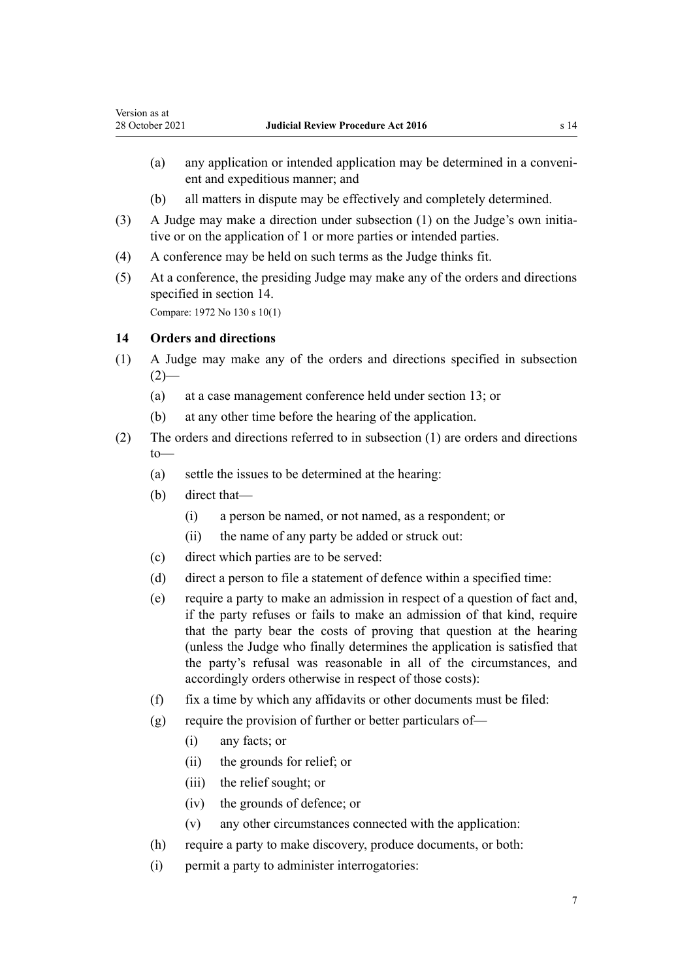- <span id="page-6-0"></span>(a) any application or intended application may be determined in a conveni‐ ent and expeditious manner; and
- (b) all matters in dispute may be effectively and completely determined.
- (3) A Judge may make a direction under subsection (1) on the Judge's own initia‐ tive or on the application of 1 or more parties or intended parties.
- (4) A conference may be held on such terms as the Judge thinks fit.
- (5) At a conference, the presiding Judge may make any of the orders and directions specified in section 14.

Compare: 1972 No 130 [s 10\(1\)](http://legislation.govt.nz/pdflink.aspx?id=DLM408373)

# **14 Orders and directions**

- (1) A Judge may make any of the orders and directions specified in subsection  $(2)$ —
	- (a) at a case management conference held under [section 13;](#page-5-0) or
	- (b) at any other time before the hearing of the application.
- (2) The orders and directions referred to in subsection (1) are orders and directions to—
	- (a) settle the issues to be determined at the hearing:
	- (b) direct that—
		- (i) a person be named, or not named, as a respondent; or
		- (ii) the name of any party be added or struck out:
	- (c) direct which parties are to be served:
	- (d) direct a person to file a statement of defence within a specified time:
	- (e) require a party to make an admission in respect of a question of fact and, if the party refuses or fails to make an admission of that kind, require that the party bear the costs of proving that question at the hearing (unless the Judge who finally determines the application is satisfied that the party's refusal was reasonable in all of the circumstances, and accordingly orders otherwise in respect of those costs):
	- (f) fix a time by which any affidavits or other documents must be filed:
	- $(g)$  require the provision of further or better particulars of—
		- (i) any facts; or
		- (ii) the grounds for relief; or
		- (iii) the relief sought; or
		- (iv) the grounds of defence; or
		- (v) any other circumstances connected with the application:
	- (h) require a party to make discovery, produce documents, or both:
	- (i) permit a party to administer interrogatories: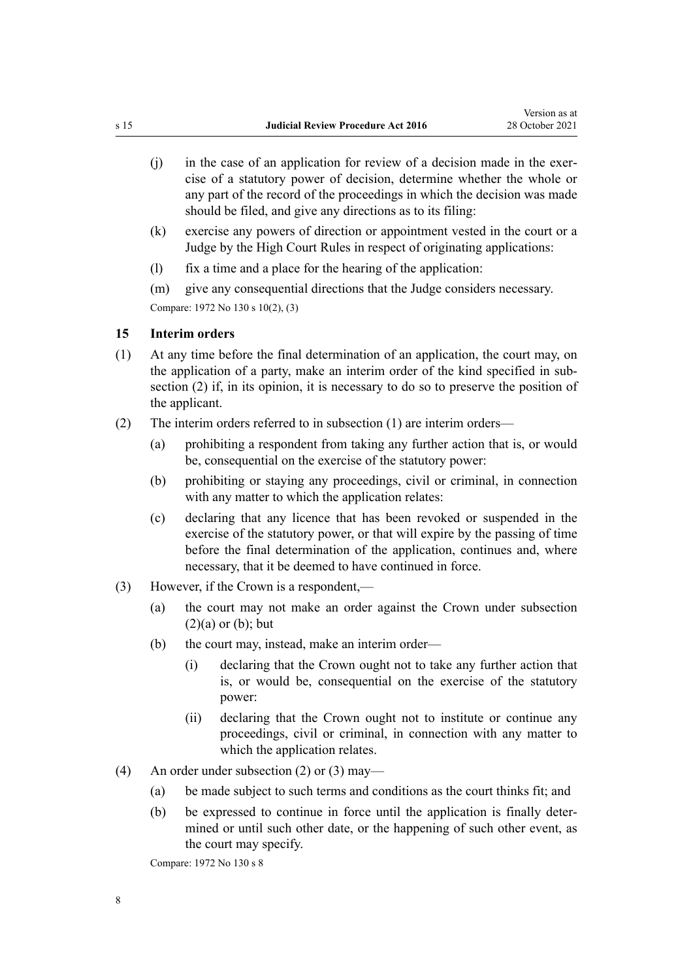- <span id="page-7-0"></span> $(i)$  in the case of an application for review of a decision made in the exercise of a statutory power of decision, determine whether the whole or any part of the record of the proceedings in which the decision was made should be filed, and give any directions as to its filing:
- (k) exercise any powers of direction or appointment vested in the court or a Judge by the High Court Rules in respect of originating applications:
- (l) fix a time and a place for the hearing of the application:
- (m) give any consequential directions that the Judge considers necessary. Compare: 1972 No 130 [s 10\(2\), \(3\)](http://legislation.govt.nz/pdflink.aspx?id=DLM408373)

#### **15 Interim orders**

- (1) At any time before the final determination of an application, the court may, on the application of a party, make an interim order of the kind specified in sub‐ section (2) if, in its opinion, it is necessary to do so to preserve the position of the applicant.
- (2) The interim orders referred to in subsection (1) are interim orders—
	- (a) prohibiting a respondent from taking any further action that is, or would be, consequential on the exercise of the statutory power:
	- (b) prohibiting or staying any proceedings, civil or criminal, in connection with any matter to which the application relates:
	- (c) declaring that any licence that has been revoked or suspended in the exercise of the statutory power, or that will expire by the passing of time before the final determination of the application, continues and, where necessary, that it be deemed to have continued in force.
- (3) However, if the Crown is a respondent,—
	- (a) the court may not make an order against the Crown under subsection  $(2)(a)$  or  $(b)$ ; but
	- (b) the court may, instead, make an interim order—
		- (i) declaring that the Crown ought not to take any further action that is, or would be, consequential on the exercise of the statutory power:
		- (ii) declaring that the Crown ought not to institute or continue any proceedings, civil or criminal, in connection with any matter to which the application relates.
- (4) An order under subsection (2) or (3) may—
	- (a) be made subject to such terms and conditions as the court thinks fit; and
	- (b) be expressed to continue in force until the application is finally deter‐ mined or until such other date, or the happening of such other event, as the court may specify.

Compare: 1972 No 130 [s 8](http://legislation.govt.nz/pdflink.aspx?id=DLM408368)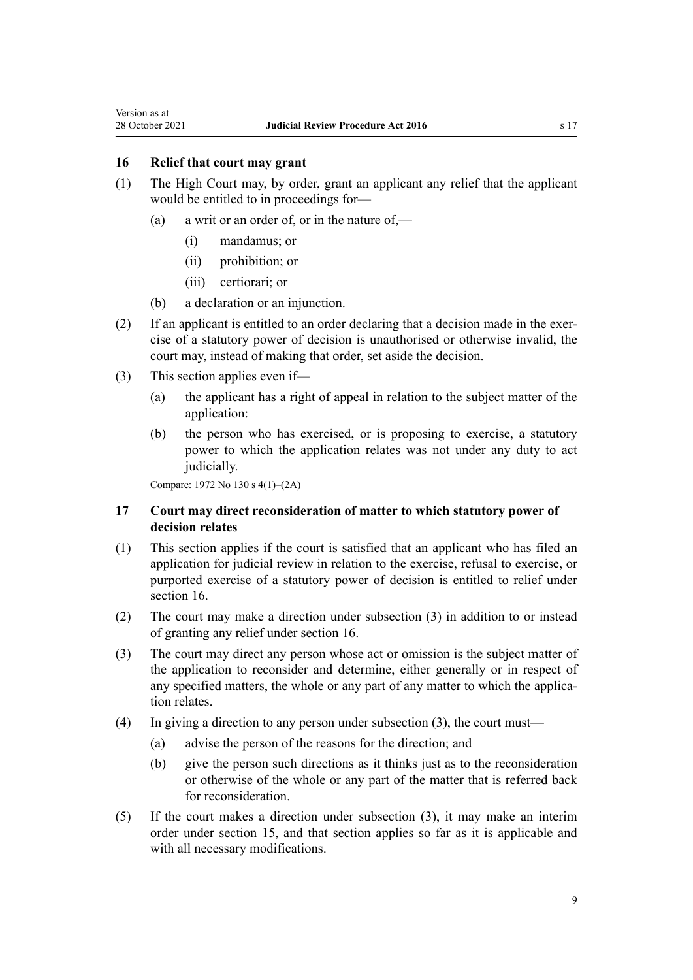### <span id="page-8-0"></span>**16 Relief that court may grant**

- (1) The High Court may, by order, grant an applicant any relief that the applicant would be entitled to in proceedings for—
	- (a) a writ or an order of, or in the nature of,—
		- (i) mandamus; or
		- (ii) prohibition; or
		- (iii) certiorari; or
	- (b) a declaration or an injunction.
- (2) If an applicant is entitled to an order declaring that a decision made in the exer‐ cise of a statutory power of decision is unauthorised or otherwise invalid, the court may, instead of making that order, set aside the decision.
- (3) This section applies even if—
	- (a) the applicant has a right of appeal in relation to the subject matter of the application:
	- (b) the person who has exercised, or is proposing to exercise, a statutory power to which the application relates was not under any duty to act judicially.

Compare: 1972 No 130 [s 4\(1\)–\(2A\)](http://legislation.govt.nz/pdflink.aspx?id=DLM408360)

### **17 Court may direct reconsideration of matter to which statutory power of decision relates**

- (1) This section applies if the court is satisfied that an applicant who has filed an application for judicial review in relation to the exercise, refusal to exercise, or purported exercise of a statutory power of decision is entitled to relief under section 16.
- (2) The court may make a direction under subsection (3) in addition to or instead of granting any relief under section 16.
- (3) The court may direct any person whose act or omission is the subject matter of the application to reconsider and determine, either generally or in respect of any specified matters, the whole or any part of any matter to which the application relates.
- (4) In giving a direction to any person under subsection (3), the court must—
	- (a) advise the person of the reasons for the direction; and
	- (b) give the person such directions as it thinks just as to the reconsideration or otherwise of the whole or any part of the matter that is referred back for reconsideration.
- (5) If the court makes a direction under subsection (3), it may make an interim order under [section 15,](#page-7-0) and that section applies so far as it is applicable and with all necessary modifications.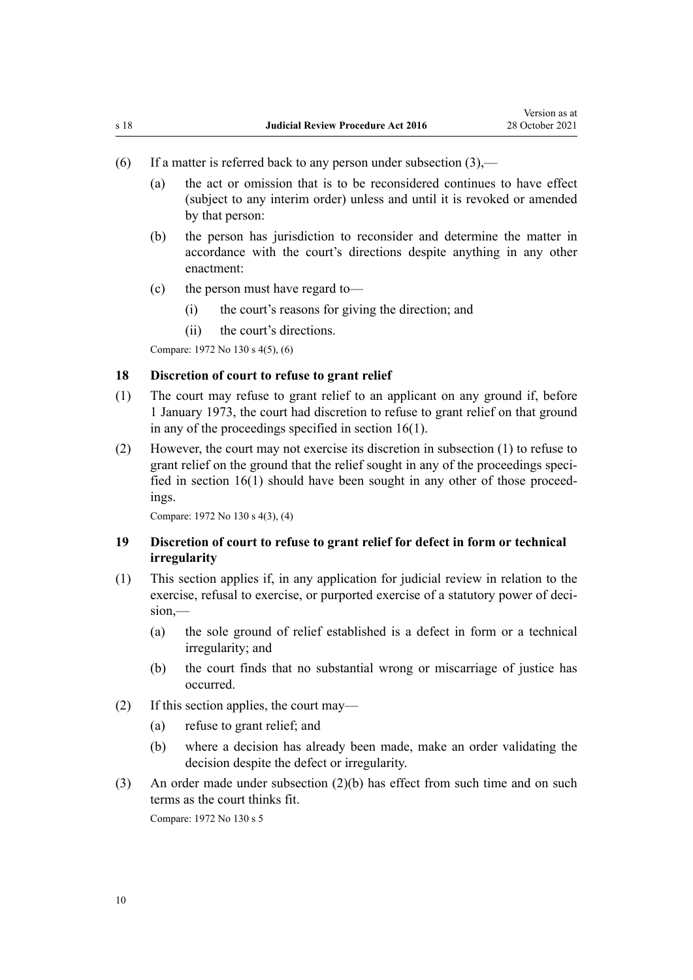- <span id="page-9-0"></span>(6) If a matter is referred back to any person under subsection (3),—
	- (a) the act or omission that is to be reconsidered continues to have effect (subject to any interim order) unless and until it is revoked or amended by that person:
	- (b) the person has jurisdiction to reconsider and determine the matter in accordance with the court's directions despite anything in any other enactment:
	- (c) the person must have regard to—
		- (i) the court's reasons for giving the direction; and
		- (ii) the court's directions.

Compare: 1972 No 130 [s 4\(5\), \(6\)](http://legislation.govt.nz/pdflink.aspx?id=DLM408360)

### **18 Discretion of court to refuse to grant relief**

- (1) The court may refuse to grant relief to an applicant on any ground if, before 1 January 1973, the court had discretion to refuse to grant relief on that ground in any of the proceedings specified in [section 16\(1\).](#page-8-0)
- (2) However, the court may not exercise its discretion in subsection (1) to refuse to grant relief on the ground that the relief sought in any of the proceedings specified in [section 16\(1\)](#page-8-0) should have been sought in any other of those proceed‐ ings.

```
Compare: 1972 No 130 s 4(3), (4)
```
# **19 Discretion of court to refuse to grant relief for defect in form or technical irregularity**

- (1) This section applies if, in any application for judicial review in relation to the exercise, refusal to exercise, or purported exercise of a statutory power of decision,—
	- (a) the sole ground of relief established is a defect in form or a technical irregularity; and
	- (b) the court finds that no substantial wrong or miscarriage of justice has occurred.
- (2) If this section applies, the court may—
	- (a) refuse to grant relief; and
	- (b) where a decision has already been made, make an order validating the decision despite the defect or irregularity.
- (3) An order made under subsection (2)(b) has effect from such time and on such terms as the court thinks fit.

Compare: 1972 No 130 [s 5](http://legislation.govt.nz/pdflink.aspx?id=DLM408365)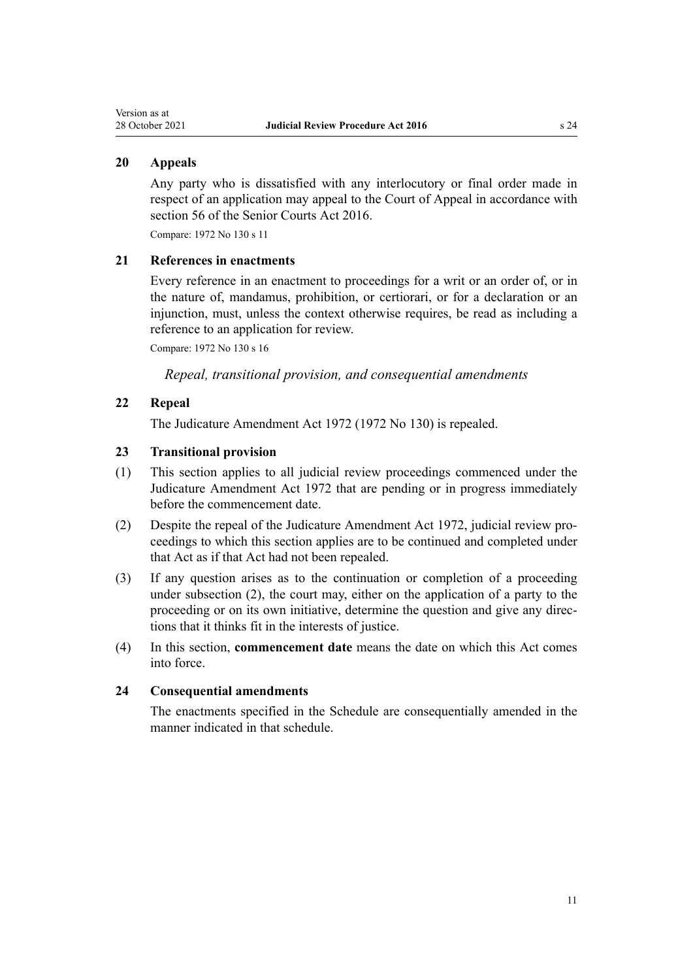### <span id="page-10-0"></span>**20 Appeals**

Any party who is dissatisfied with any interlocutory or final order made in respect of an application may appeal to the Court of Appeal in accordance with section 56 of the Senior Courts Act 2016.

Compare: 1972 No 130 [s 11](http://legislation.govt.nz/pdflink.aspx?id=DLM408375)

### **21 References in enactments**

Every reference in an enactment to proceedings for a writ or an order of, or in the nature of, mandamus, prohibition, or certiorari, or for a declaration or an injunction, must, unless the context otherwise requires, be read as including a reference to an application for review.

Compare: 1972 No 130 [s 16](http://legislation.govt.nz/pdflink.aspx?id=DLM408381)

*Repeal, transitional provision, and consequential amendments*

# **22 Repeal**

The [Judicature Amendment Act 1972](http://legislation.govt.nz/pdflink.aspx?id=DLM408329) (1972 No 130) is repealed.

# **23 Transitional provision**

- (1) This section applies to all judicial review proceedings commenced under the [Judicature Amendment Act 1972](http://legislation.govt.nz/pdflink.aspx?id=DLM408329) that are pending or in progress immediately before the commencement date.
- (2) Despite the repeal of the [Judicature Amendment Act 1972,](http://legislation.govt.nz/pdflink.aspx?id=DLM408329) judicial review pro‐ ceedings to which this section applies are to be continued and completed under that Act as if that Act had not been repealed.
- (3) If any question arises as to the continuation or completion of a proceeding under subsection (2), the court may, either on the application of a party to the proceeding or on its own initiative, determine the question and give any directions that it thinks fit in the interests of justice.
- (4) In this section, **commencement date** means the date on which this Act comes into force.

### **24 Consequential amendments**

The enactments specified in the [Schedule](#page-11-0) are consequentially amended in the manner indicated in that schedule.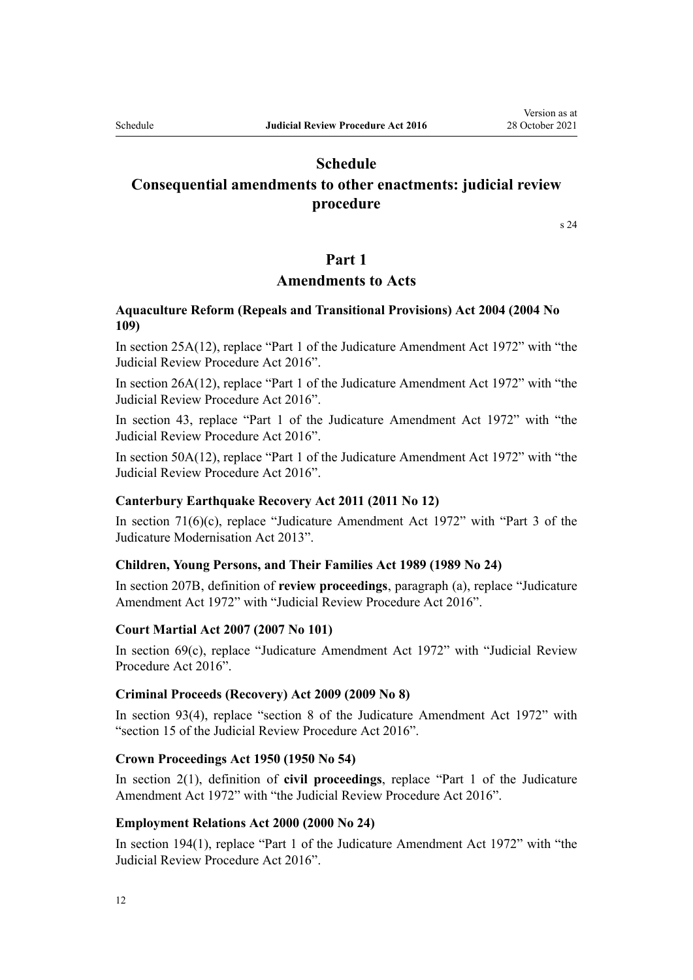# **Schedule**

# <span id="page-11-0"></span>**Consequential amendments to other enactments: judicial review procedure**

[s 24](#page-10-0)

# **Part 1**

# **Amendments to Acts**

### **Aquaculture Reform (Repeals and Transitional Provisions) Act 2004 (2004 No 109)**

In [section 25A\(12\)](http://legislation.govt.nz/pdflink.aspx?id=DLM4114595), replace "Part 1 of the Judicature Amendment Act 1972" with "the Judicial Review Procedure Act 2016".

In [section 26A\(12\)](http://legislation.govt.nz/pdflink.aspx?id=DLM4117341), replace "Part 1 of the Judicature Amendment Act 1972" with "the Judicial Review Procedure Act 2016".

In [section 43,](http://legislation.govt.nz/pdflink.aspx?id=DLM325309) replace "Part 1 of the Judicature Amendment Act 1972" with "the Judicial Review Procedure Act 2016".

In [section 50A\(12\)](http://legislation.govt.nz/pdflink.aspx?id=DLM4119670), replace "Part 1 of the Judicature Amendment Act 1972" with "the Judicial Review Procedure Act 2016".

### **Canterbury Earthquake Recovery Act 2011 (2011 No 12)**

In [section 71\(6\)\(c\),](http://legislation.govt.nz/pdflink.aspx?id=DLM3570826) replace "Judicature Amendment Act 1972" with "Part 3 of the Judicature Modernisation Act 2013".

### **Children, Young Persons, and Their Families Act 1989 (1989 No 24)**

In [section 207B,](http://legislation.govt.nz/pdflink.aspx?id=DLM151679) definition of **review proceedings**, paragraph (a), replace "Judicature Amendment Act 1972" with "Judicial Review Procedure Act 2016".

#### **Court Martial Act 2007 (2007 No 101)**

In [section 69\(c\)](http://legislation.govt.nz/pdflink.aspx?id=DLM1002024), replace "Judicature Amendment Act 1972" with "Judicial Review Procedure Act 2016".

#### **Criminal Proceeds (Recovery) Act 2009 (2009 No 8)**

In [section 93\(4\),](http://legislation.govt.nz/pdflink.aspx?id=DLM1451260) replace "section 8 of the Judicature Amendment Act 1972" with "section 15 of the Judicial Review Procedure Act 2016".

#### **Crown Proceedings Act 1950 (1950 No 54)**

In [section 2\(1\)](http://legislation.govt.nz/pdflink.aspx?id=DLM261472), definition of **civil proceedings**, replace "Part 1 of the Judicature Amendment Act 1972" with "the Judicial Review Procedure Act 2016".

#### **Employment Relations Act 2000 (2000 No 24)**

In [section 194\(1\)](http://legislation.govt.nz/pdflink.aspx?id=DLM60990), replace "Part 1 of the Judicature Amendment Act 1972" with "the Judicial Review Procedure Act 2016".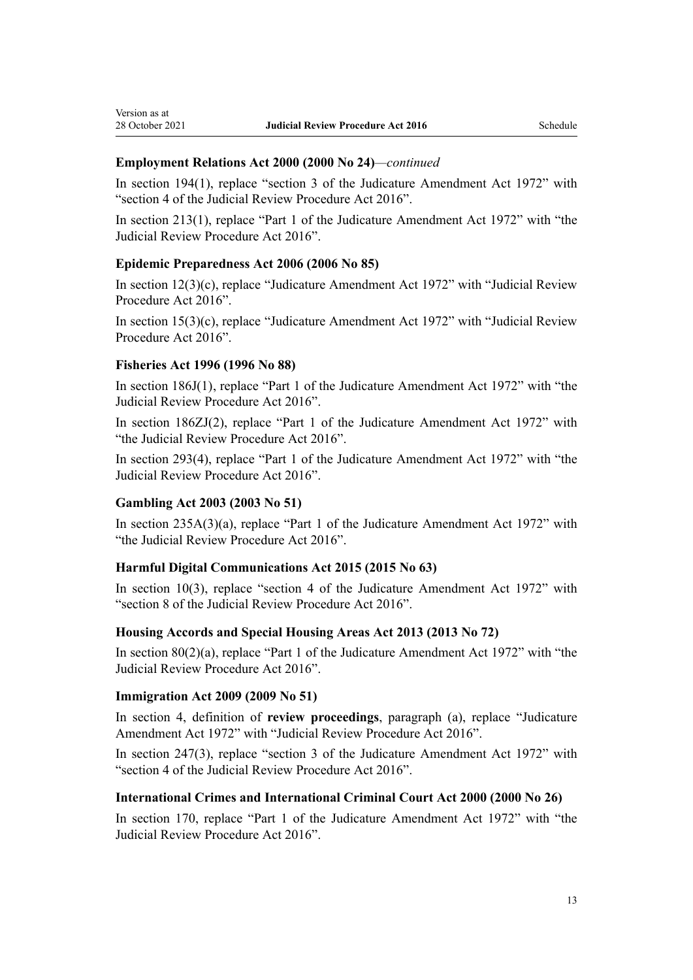#### **Employment Relations Act 2000 (2000 No 24)***—continued*

In [section 194\(1\),](http://legislation.govt.nz/pdflink.aspx?id=DLM60990) replace "section 3 of the Judicature Amendment Act 1972" with "section 4 of the Judicial Review Procedure Act 2016".

In [section 213\(1\)](http://legislation.govt.nz/pdflink.aspx?id=DLM61423), replace "Part 1 of the Judicature Amendment Act 1972" with "the Judicial Review Procedure Act 2016".

### **Epidemic Preparedness Act 2006 (2006 No 85)**

In [section 12\(3\)\(c\)](http://legislation.govt.nz/pdflink.aspx?id=DLM404491), replace "Judicature Amendment Act 1972" with "Judicial Review Procedure Act 2016".

In [section 15\(3\)\(c\)](http://legislation.govt.nz/pdflink.aspx?id=DLM404495), replace "Judicature Amendment Act 1972" with "Judicial Review Procedure Act 2016".

### **Fisheries Act 1996 (1996 No 88)**

Version as at

In [section 186J\(1\),](http://legislation.govt.nz/pdflink.aspx?id=DLM398305) replace "Part 1 of the Judicature Amendment Act 1972" with "the Judicial Review Procedure Act 2016".

In [section 186ZJ\(2\),](http://legislation.govt.nz/pdflink.aspx?id=DLM398364) replace "Part 1 of the Judicature Amendment Act 1972" with "the Judicial Review Procedure Act 2016".

In [section 293\(4\)](http://legislation.govt.nz/pdflink.aspx?id=DLM399391), replace "Part 1 of the Judicature Amendment Act 1972" with "the Judicial Review Procedure Act 2016".

#### **Gambling Act 2003 (2003 No 51)**

In [section 235A\(3\)\(a\),](http://legislation.govt.nz/pdflink.aspx?id=DLM6634240) replace "Part 1 of the Judicature Amendment Act 1972" with "the Judicial Review Procedure Act 2016".

#### **Harmful Digital Communications Act 2015 (2015 No 63)**

In [section 10\(3\),](http://legislation.govt.nz/pdflink.aspx?id=DLM5711843) replace "section 4 of the Judicature Amendment Act 1972" with "section 8 of the Judicial Review Procedure Act 2016".

### **Housing Accords and Special Housing Areas Act 2013 (2013 No 72)**

In [section 80\(2\)\(a\)](http://legislation.govt.nz/pdflink.aspx?id=DLM5204862), replace "Part 1 of the Judicature Amendment Act 1972" with "the Judicial Review Procedure Act 2016".

### **Immigration Act 2009 (2009 No 51)**

In [section 4](http://legislation.govt.nz/pdflink.aspx?id=DLM1440311), definition of **review proceedings**, paragraph (a), replace "Judicature Amendment Act 1972" with "Judicial Review Procedure Act 2016".

In [section 247\(3\),](http://legislation.govt.nz/pdflink.aspx?id=DLM1440979) replace "section 3 of the Judicature Amendment Act 1972" with "section 4 of the Judicial Review Procedure Act 2016".

#### **International Crimes and International Criminal Court Act 2000 (2000 No 26)**

In [section 170,](http://legislation.govt.nz/pdflink.aspx?id=DLM65500) replace "Part 1 of the Judicature Amendment Act 1972" with "the Judicial Review Procedure Act 2016".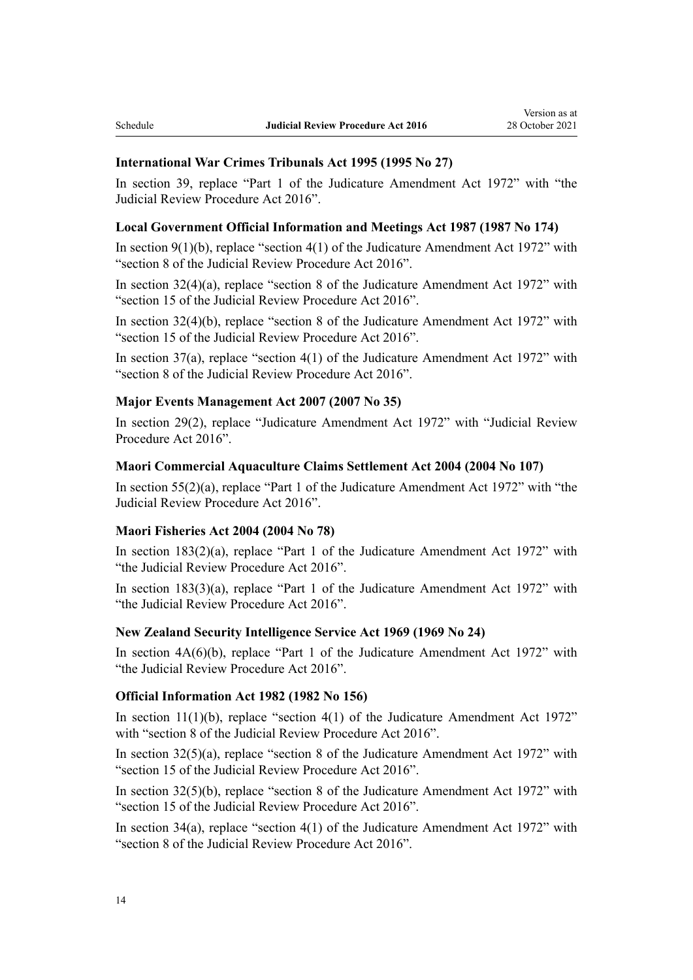### **International War Crimes Tribunals Act 1995 (1995 No 27)**

In [section 39,](http://legislation.govt.nz/pdflink.aspx?id=DLM365917) replace "Part 1 of the Judicature Amendment Act 1972" with "the Judicial Review Procedure Act 2016".

### **Local Government Official Information and Meetings Act 1987 (1987 No 174)**

In [section 9\(1\)\(b\),](http://legislation.govt.nz/pdflink.aspx?id=DLM122290) replace "section 4(1) of the Judicature Amendment Act 1972" with "section 8 of the Judicial Review Procedure Act 2016".

In [section 32\(4\)\(a\)](http://legislation.govt.nz/pdflink.aspx?id=DLM123045), replace "section 8 of the Judicature Amendment Act 1972" with "section 15 of the Judicial Review Procedure Act 2016".

In [section 32\(4\)\(b\)](http://legislation.govt.nz/pdflink.aspx?id=DLM123045), replace "section 8 of the Judicature Amendment Act 1972" with "section 15 of the Judicial Review Procedure Act 2016".

In [section 37\(a\)](http://legislation.govt.nz/pdflink.aspx?id=DLM123050), replace "section 4(1) of the Judicature Amendment Act 1972" with "section 8 of the Judicial Review Procedure Act 2016".

### **Major Events Management Act 2007 (2007 No 35)**

In [section 29\(2\),](http://legislation.govt.nz/pdflink.aspx?id=DLM413085) replace "Judicature Amendment Act 1972" with "Judicial Review Procedure Act 2016".

### **Maori Commercial Aquaculture Claims Settlement Act 2004 (2004 No 107)**

In [section 55\(2\)\(a\)](http://legislation.govt.nz/pdflink.aspx?id=DLM413223), replace "Part 1 of the Judicature Amendment Act 1972" with "the Judicial Review Procedure Act 2016".

### **Maori Fisheries Act 2004 (2004 No 78)**

In [section 183\(2\)\(a\),](http://legislation.govt.nz/pdflink.aspx?id=DLM313070) replace "Part 1 of the Judicature Amendment Act 1972" with "the Judicial Review Procedure Act 2016".

In [section 183\(3\)\(a\),](http://legislation.govt.nz/pdflink.aspx?id=DLM313070) replace "Part 1 of the Judicature Amendment Act 1972" with "the Judicial Review Procedure Act 2016".

### **New Zealand Security Intelligence Service Act 1969 (1969 No 24)**

In [section 4A\(6\)\(b\)](http://legislation.govt.nz/pdflink.aspx?id=DLM391815), replace "Part 1 of the Judicature Amendment Act 1972" with "the Judicial Review Procedure Act 2016".

### **Official Information Act 1982 (1982 No 156)**

In section  $11(1)(b)$ , replace "section  $4(1)$  of the Judicature Amendment Act 1972" with "section 8 of the Judicial Review Procedure Act 2016".

In [section 32\(5\)\(a\)](http://legislation.govt.nz/pdflink.aspx?id=DLM65666), replace "section 8 of the Judicature Amendment Act 1972" with "section 15 of the Judicial Review Procedure Act 2016".

In [section 32\(5\)\(b\)](http://legislation.govt.nz/pdflink.aspx?id=DLM65666), replace "section 8 of the Judicature Amendment Act 1972" with "section 15 of the Judicial Review Procedure Act 2016".

In [section 34\(a\)](http://legislation.govt.nz/pdflink.aspx?id=DLM65676), replace "section 4(1) of the Judicature Amendment Act 1972" with "section 8 of the Judicial Review Procedure Act 2016".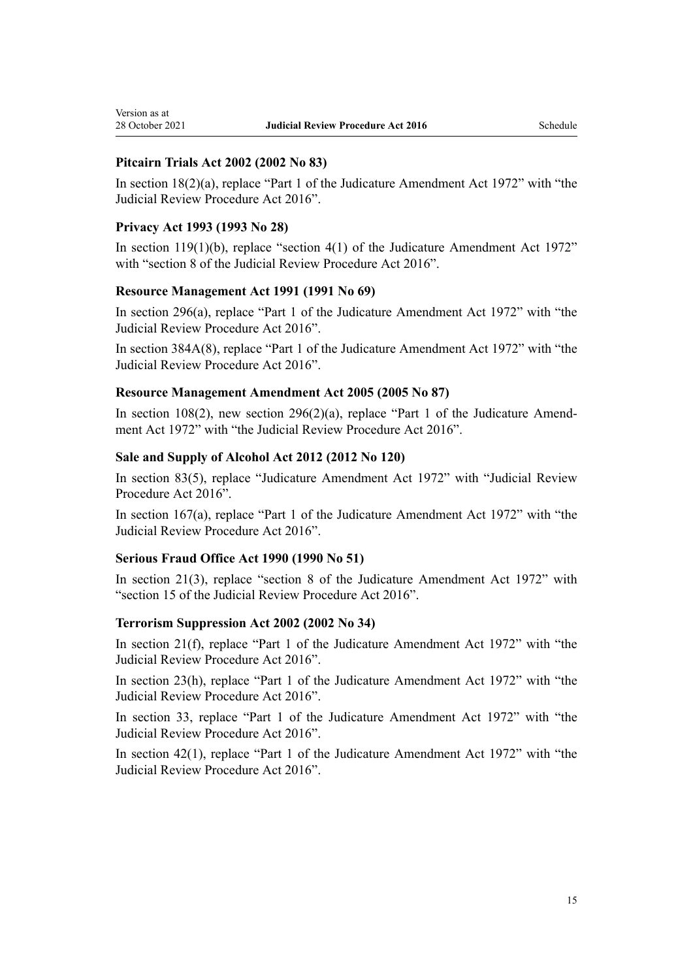#### **Pitcairn Trials Act 2002 (2002 No 83)**

In [section 18\(2\)\(a\)](http://legislation.govt.nz/pdflink.aspx?id=DLM170244), replace "Part 1 of the Judicature Amendment Act 1972" with "the Judicial Review Procedure Act 2016".

#### **Privacy Act 1993 (1993 No 28)**

Version as at

In [section 119\(1\)\(b\)](http://legislation.govt.nz/pdflink.aspx?id=DLM298421), replace "section 4(1) of the Judicature Amendment Act 1972" with "section 8 of the Judicial Review Procedure Act 2016".

### **Resource Management Act 1991 (1991 No 69)**

In [section 296\(a\),](http://legislation.govt.nz/pdflink.aspx?id=DLM238263) replace "Part 1 of the Judicature Amendment Act 1972" with "the Judicial Review Procedure Act 2016".

In [section 384A\(8\)](http://legislation.govt.nz/pdflink.aspx?id=DLM239860), replace "Part 1 of the Judicature Amendment Act 1972" with "the Judicial Review Procedure Act 2016".

### **Resource Management Amendment Act 2005 (2005 No 87)**

In [section 108\(2\),](http://legislation.govt.nz/pdflink.aspx?id=DLM360602) new section  $296(2)(a)$ , replace "Part 1 of the Judicature Amendment Act 1972" with "the Judicial Review Procedure Act 2016".

#### **Sale and Supply of Alcohol Act 2012 (2012 No 120)**

In [section 83\(5\),](http://legislation.govt.nz/pdflink.aspx?id=DLM3339564) replace "Judicature Amendment Act 1972" with "Judicial Review Procedure Act 2016".

In [section 167\(a\),](http://legislation.govt.nz/pdflink.aspx?id=DLM3339654) replace "Part 1 of the Judicature Amendment Act 1972" with "the Judicial Review Procedure Act 2016".

#### **Serious Fraud Office Act 1990 (1990 No 51)**

In [section 21\(3\),](http://legislation.govt.nz/pdflink.aspx?id=DLM211450) replace "section 8 of the Judicature Amendment Act 1972" with "section 15 of the Judicial Review Procedure Act 2016".

#### **Terrorism Suppression Act 2002 (2002 No 34)**

In [section 21\(f\),](http://legislation.govt.nz/pdflink.aspx?id=DLM152751) replace "Part 1 of the Judicature Amendment Act 1972" with "the Judicial Review Procedure Act 2016".

In [section 23\(h\)](http://legislation.govt.nz/pdflink.aspx?id=DLM152754), replace "Part 1 of the Judicature Amendment Act 1972" with "the Judicial Review Procedure Act 2016".

In [section 33,](http://legislation.govt.nz/pdflink.aspx?id=DLM152770) replace "Part 1 of the Judicature Amendment Act 1972" with "the Judicial Review Procedure Act 2016".

In [section 42\(1\)](http://legislation.govt.nz/pdflink.aspx?id=DLM152780), replace "Part 1 of the Judicature Amendment Act 1972" with "the Judicial Review Procedure Act 2016".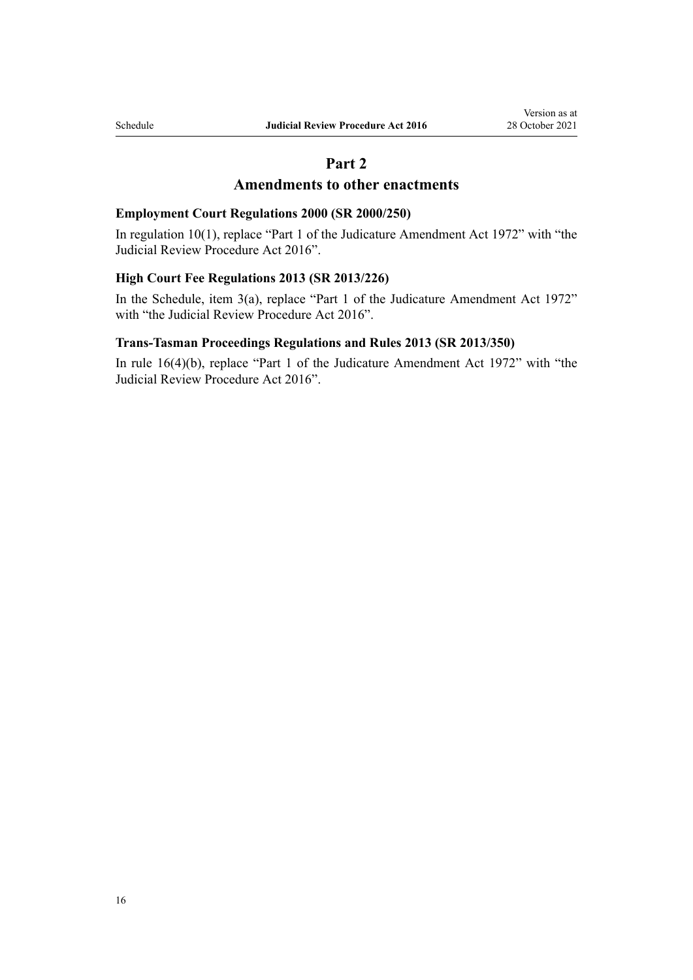# **Part 2**

# **Amendments to other enactments**

# **Employment Court Regulations 2000 (SR 2000/250)**

In [regulation 10\(1\)](http://legislation.govt.nz/pdflink.aspx?id=DLM2034738), replace "Part 1 of the Judicature Amendment Act 1972" with "the Judicial Review Procedure Act 2016".

### **High Court Fee Regulations 2013 (SR 2013/226)**

In the [Schedule,](http://legislation.govt.nz/pdflink.aspx?id=DLM5196180) item 3(a), replace "Part 1 of the Judicature Amendment Act 1972" with "the Judicial Review Procedure Act 2016".

# **Trans-Tasman Proceedings Regulations and Rules 2013 (SR 2013/350)**

In [rule 16\(4\)\(b\)](http://legislation.govt.nz/pdflink.aspx?id=DLM5500331), replace "Part 1 of the Judicature Amendment Act 1972" with "the Judicial Review Procedure Act 2016".